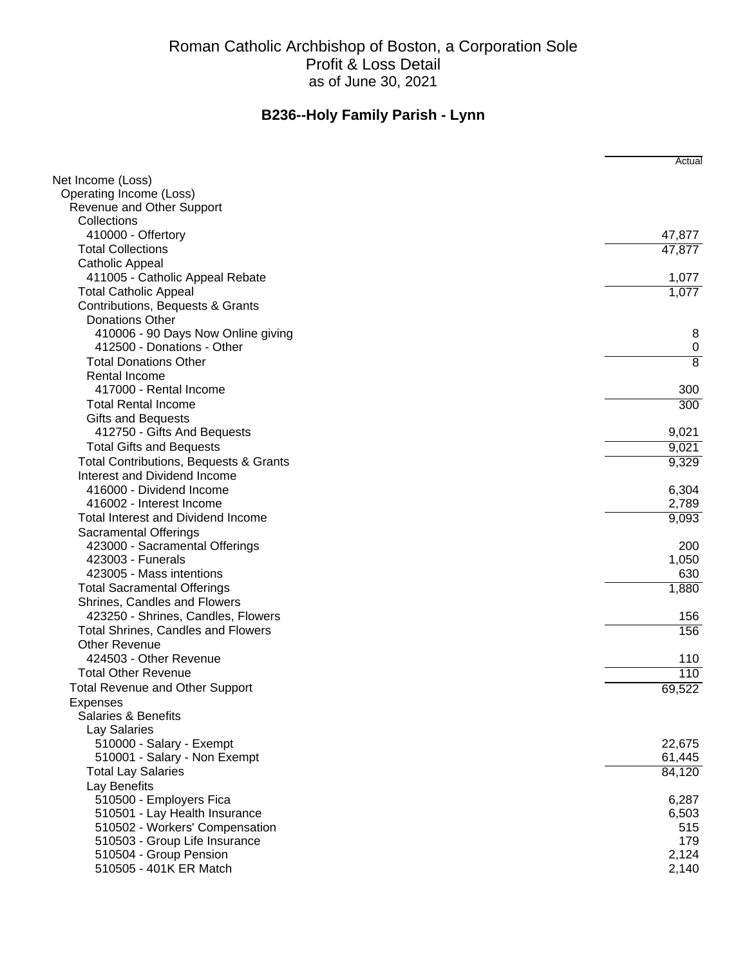## **B236--Holy Family Parish - Lynn**

|                                           | Actual         |
|-------------------------------------------|----------------|
| Net Income (Loss)                         |                |
| Operating Income (Loss)                   |                |
| Revenue and Other Support                 |                |
| Collections                               |                |
| 410000 - Offertory                        | 47,877         |
| <b>Total Collections</b>                  | 47,877         |
| <b>Catholic Appeal</b>                    |                |
| 411005 - Catholic Appeal Rebate           | 1,077          |
| <b>Total Catholic Appeal</b>              | 1,077          |
| Contributions, Bequests & Grants          |                |
| <b>Donations Other</b>                    |                |
| 410006 - 90 Days Now Online giving        | 8              |
| 412500 - Donations - Other                | 0              |
| <b>Total Donations Other</b>              | $\overline{8}$ |
| Rental Income<br>417000 - Rental Income   | 300            |
| <b>Total Rental Income</b>                | 300            |
| Gifts and Bequests                        |                |
| 412750 - Gifts And Bequests               | 9,021          |
| <b>Total Gifts and Bequests</b>           | 9,021          |
| Total Contributions, Bequests & Grants    | 9,329          |
| Interest and Dividend Income              |                |
| 416000 - Dividend Income                  | 6,304          |
| 416002 - Interest Income                  | 2,789          |
| <b>Total Interest and Dividend Income</b> | 9,093          |
| <b>Sacramental Offerings</b>              |                |
| 423000 - Sacramental Offerings            | 200            |
| 423003 - Funerals                         | 1,050          |
| 423005 - Mass intentions                  | 630            |
| <b>Total Sacramental Offerings</b>        | 1,880          |
| Shrines, Candles and Flowers              |                |
| 423250 - Shrines, Candles, Flowers        | 156            |
| <b>Total Shrines, Candles and Flowers</b> | 156            |
| <b>Other Revenue</b>                      |                |
| 424503 - Other Revenue                    | 110            |
| <b>Total Other Revenue</b>                | 110            |
| <b>Total Revenue and Other Support</b>    | 69,522         |
| Expenses                                  |                |
| Salaries & Benefits                       |                |
| Lay Salaries<br>510000 - Salary - Exempt  | 22,675         |
| 510001 - Salary - Non Exempt              | 61,445         |
| <b>Total Lay Salaries</b>                 | 84,120         |
| Lay Benefits                              |                |
| 510500 - Employers Fica                   | 6,287          |
| 510501 - Lay Health Insurance             | 6,503          |
| 510502 - Workers' Compensation            | 515            |
| 510503 - Group Life Insurance             | 179            |
| 510504 - Group Pension                    | 2,124          |
| 510505 - 401K ER Match                    | 2,140          |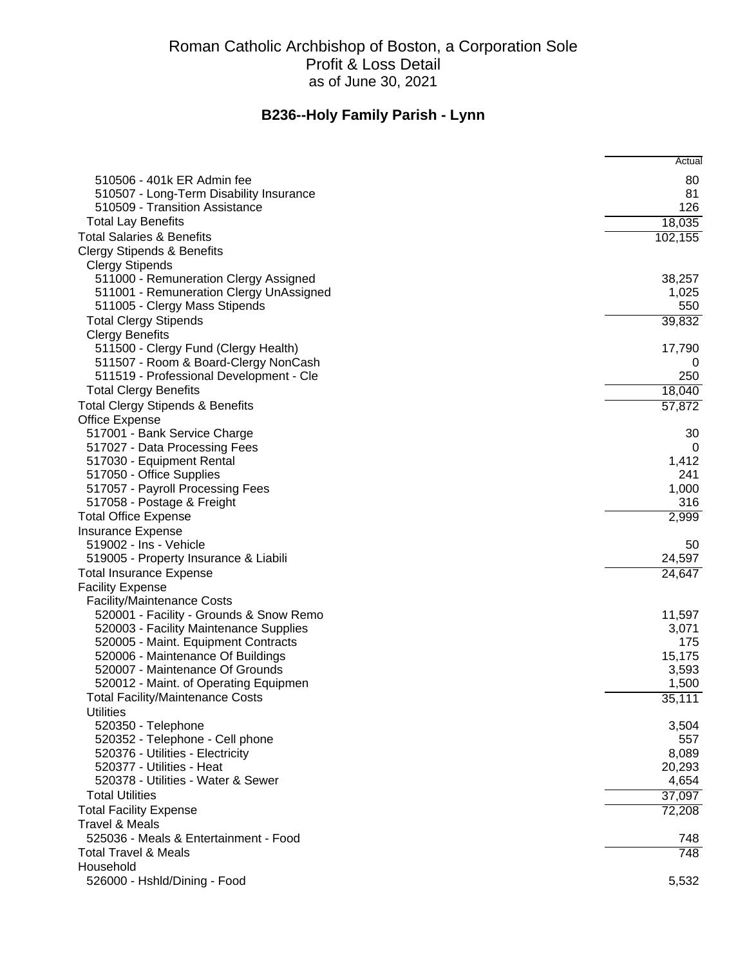## **B236--Holy Family Parish - Lynn**

|                                             | Actual         |
|---------------------------------------------|----------------|
| 510506 - 401k ER Admin fee                  | 80             |
| 510507 - Long-Term Disability Insurance     | 81             |
| 510509 - Transition Assistance              | 126            |
| <b>Total Lay Benefits</b>                   | 18,035         |
| <b>Total Salaries &amp; Benefits</b>        | 102,155        |
| <b>Clergy Stipends &amp; Benefits</b>       |                |
| <b>Clergy Stipends</b>                      |                |
| 511000 - Remuneration Clergy Assigned       | 38,257         |
| 511001 - Remuneration Clergy UnAssigned     | 1,025          |
| 511005 - Clergy Mass Stipends               | 550            |
| <b>Total Clergy Stipends</b>                | 39,832         |
| <b>Clergy Benefits</b>                      |                |
| 511500 - Clergy Fund (Clergy Health)        | 17,790         |
| 511507 - Room & Board-Clergy NonCash        | O              |
| 511519 - Professional Development - Cle     | 250            |
| <b>Total Clergy Benefits</b>                | 18,040         |
| <b>Total Clergy Stipends &amp; Benefits</b> | 57,872         |
| Office Expense                              |                |
| 517001 - Bank Service Charge                | 30             |
| 517027 - Data Processing Fees               | $\overline{0}$ |
| 517030 - Equipment Rental                   | 1,412          |
| 517050 - Office Supplies                    | 241            |
| 517057 - Payroll Processing Fees            | 1,000          |
| 517058 - Postage & Freight                  | 316            |
| <b>Total Office Expense</b>                 | 2,999          |
| Insurance Expense                           |                |
| 519002 - Ins - Vehicle                      | 50             |
| 519005 - Property Insurance & Liabili       | 24,597         |
| <b>Total Insurance Expense</b>              | 24,647         |
| <b>Facility Expense</b>                     |                |
| <b>Facility/Maintenance Costs</b>           |                |
| 520001 - Facility - Grounds & Snow Remo     | 11,597         |
| 520003 - Facility Maintenance Supplies      | 3,071          |
| 520005 - Maint. Equipment Contracts         | 175            |
| 520006 - Maintenance Of Buildings           | 15,175         |
| 520007 - Maintenance Of Grounds             | 3,593          |
| 520012 - Maint. of Operating Equipmen       | 1,500          |
| <b>Total Facility/Maintenance Costs</b>     | 35,111         |
| <b>Utilities</b>                            |                |
| 520350 - Telephone                          | 3,504          |
| 520352 - Telephone - Cell phone             | 557            |
| 520376 - Utilities - Electricity            | 8,089          |
| 520377 - Utilities - Heat                   | 20,293         |
| 520378 - Utilities - Water & Sewer          | 4,654          |
| <b>Total Utilities</b>                      | 37,097         |
| <b>Total Facility Expense</b>               | 72,208         |
| <b>Travel &amp; Meals</b>                   |                |
| 525036 - Meals & Entertainment - Food       | 748            |
| <b>Total Travel &amp; Meals</b>             | 748            |
| Household                                   |                |
| 526000 - Hshld/Dining - Food                | 5,532          |